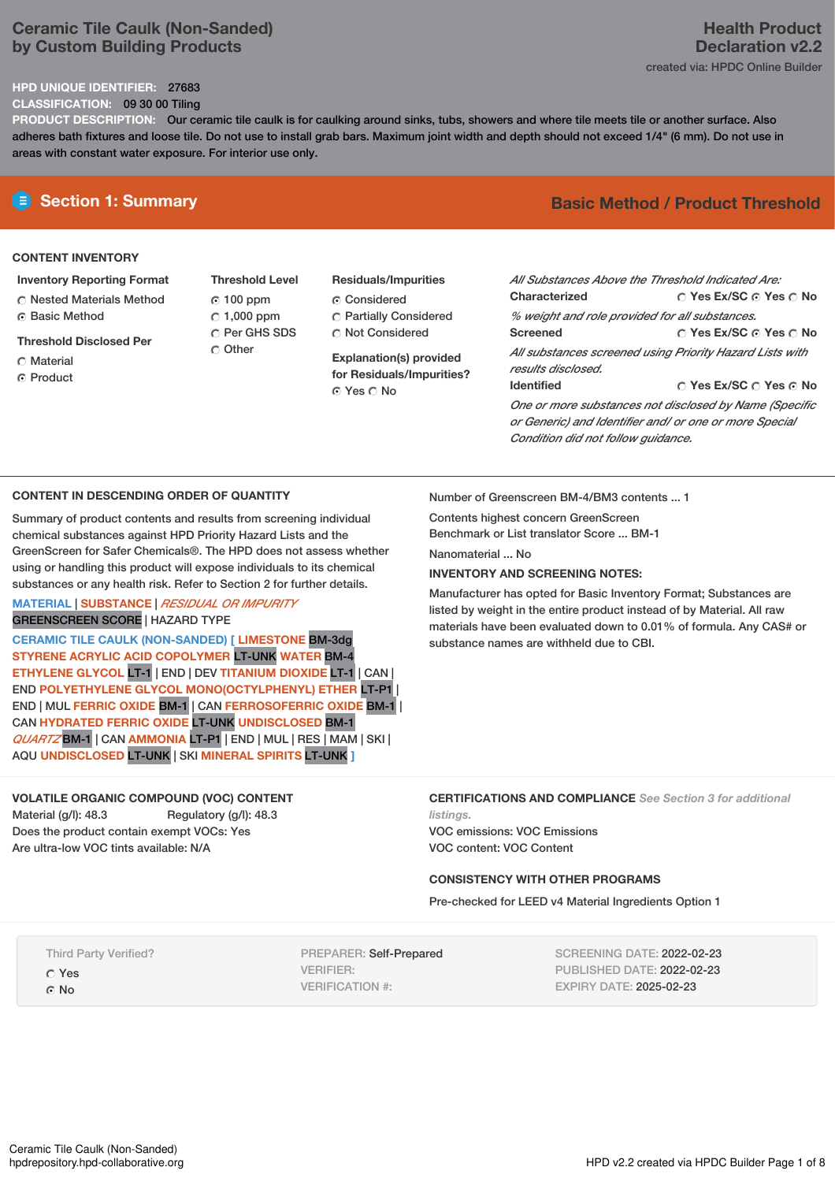## **Ceramic Tile Caulk (Non-Sanded) by Custom Building Products**

## **HPD UNIQUE IDENTIFIER:** 27683

**CLASSIFICATION:** 09 30 00 Tiling

**PRODUCT DESCRIPTION:** Our ceramic tile caulk is for caulking around sinks, tubs, showers and where tile meets tile or another surface. Also adheres bath fixtures and loose tile. Do not use to install grab bars. Maximum joint width and depth should not exceed 1/4" (6 mm). Do not use in areas with constant water exposure. For interior use only.

## **CONTENT INVENTORY**

## **Inventory Reporting Format**

- **C** Nested Materials Method Basic Method
- **Threshold Disclosed Per**
- Material
- ⊙ Product
- **Threshold Level** 100 ppm  $C$  1,000 ppm C Per GHS SDS O Other
- **Residuals/Impurities** Considered Partially Considered Not Considered

**Explanation(s) provided for Residuals/Impurities?** ⊙ Yes O No

# **Section 1: Summary Basic Method / Product Threshold**

| All Substances Above the Threshold Indicated Are:                              |                                       |  |  |  |
|--------------------------------------------------------------------------------|---------------------------------------|--|--|--|
| Characterized                                                                  | $\cap$ Yes Ex/SC $\cap$ Yes $\cap$ No |  |  |  |
| % weight and role provided for all substances.                                 |                                       |  |  |  |
| <b>Screened</b>                                                                | ∩ Yes Ex/SC ∩ Yes ∩ No                |  |  |  |
| All substances screened using Priority Hazard Lists with<br>results disclosed. |                                       |  |  |  |
| <b>Identified</b>                                                              | ∩ Yes Ex/SC ∩ Yes ∩ No                |  |  |  |
| One or more substances not disclosed by Name (Specific                         |                                       |  |  |  |
| or Generic) and Identifier and/ or one or more Special                         |                                       |  |  |  |

**CONTENT IN DESCENDING ORDER OF QUANTITY**

Summary of product contents and results from screening individual chemical substances against HPD Priority Hazard Lists and the GreenScreen for Safer Chemicals®. The HPD does not assess whether using or handling this product will expose individuals to its chemical substances or any health risk. Refer to Section 2 for further details.

# **MATERIAL** | **SUBSTANCE** | *RESIDUAL OR IMPURITY*

GREENSCREEN SCORE | HAZARD TYPE

**CERAMIC TILE CAULK (NON-SANDED) [ LIMESTONE** BM-3dg **STYRENE ACRYLIC ACID COPOLYMER** LT-UNK **WATER** BM-4 **ETHYLENE GLYCOL** LT-1 | END | DEV **TITANIUM DIOXIDE** LT-1 | CAN | END **POLYETHYLENE GLYCOL MONO(OCTYLPHENYL) ETHER** LT-P1 | END | MUL **FERRIC OXIDE** BM-1 | CAN **FERROSOFERRIC OXIDE** BM-1 | CAN **HYDRATED FERRIC OXIDE** LT-UNK **UNDISCLOSED** BM-1 *QUARTZ* BM-1 | CAN **AMMONIA** LT-P1 | END | MUL | RES | MAM |SKI | AQU **UNDISCLOSED** LT-UNK | SKI **MINERAL SPIRITS** LT-UNK **]**

## **VOLATILE ORGANIC COMPOUND (VOC) CONTENT** Material (g/l): 48.3 Regulatory (g/l): 48.3

Does the product contain exempt VOCs: Yes Are ultra-low VOC tints available: N/A

Number of Greenscreen BM-4/BM3 contents ... 1

Contents highest concern GreenScreen Benchmark or List translator Score ... BM-1

Nanomaterial No.

## **INVENTORY AND SCREENING NOTES:**

Manufacturer has opted for Basic Inventory Format; Substances are listed by weight in the entire product instead of by Material. All raw materials have been evaluated down to 0.01% of formula. Any CAS# or substance names are withheld due to CBI.

*Condition did not follow guidance.*

**CERTIFICATIONS AND COMPLIANCE** *See Section 3 for additional listings.*

VOC emissions: VOC Emissions VOC content: VOC Content

## **CONSISTENCY WITH OTHER PROGRAMS**

Pre-checked for LEED v4 Material Ingredients Option 1

Third Party Verified?

Yes ⊙ No

PREPARER: Self-Prepared VERIFIER: VERIFICATION #:

SCREENING DATE: 2022-02-23 PUBLISHED DATE: 2022-02-23 EXPIRY DATE: 2025-02-23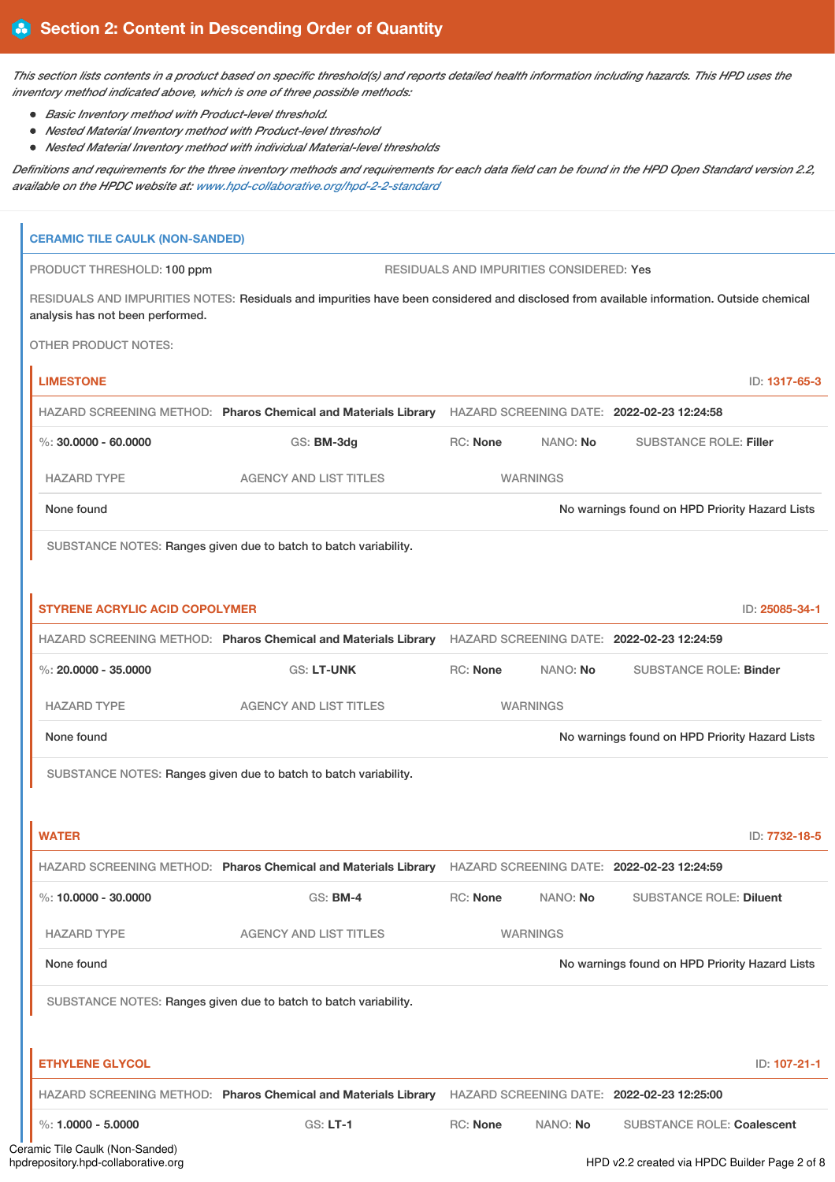This section lists contents in a product based on specific threshold(s) and reports detailed health information including hazards. This HPD uses the *inventory method indicated above, which is one of three possible methods:*

- *Basic Inventory method with Product-level threshold.*
- *Nested Material Inventory method with Product-level threshold*
- *Nested Material Inventory method with individual Material-level thresholds*

Definitions and requirements for the three inventory methods and requirements for each data field can be found in the HPD Open Standard version 2.2, *available on the HPDC website at: [www.hpd-collaborative.org/hpd-2-2-standard](https://www.hpd-collaborative.org/hpd-2-2-standard)*

| <b>CERAMIC TILE CAULK (NON-SANDED)</b> |                                                                                                                                          |                 |                                          |                                                |                |
|----------------------------------------|------------------------------------------------------------------------------------------------------------------------------------------|-----------------|------------------------------------------|------------------------------------------------|----------------|
| PRODUCT THRESHOLD: 100 ppm             |                                                                                                                                          |                 | RESIDUALS AND IMPURITIES CONSIDERED: Yes |                                                |                |
| analysis has not been performed.       | RESIDUALS AND IMPURITIES NOTES: Residuals and impurities have been considered and disclosed from available information. Outside chemical |                 |                                          |                                                |                |
| <b>OTHER PRODUCT NOTES:</b>            |                                                                                                                                          |                 |                                          |                                                |                |
| <b>LIMESTONE</b>                       |                                                                                                                                          |                 |                                          |                                                | ID: 1317-65-3  |
|                                        | HAZARD SCREENING METHOD: Pharos Chemical and Materials Library                                                                           |                 |                                          | HAZARD SCREENING DATE: 2022-02-23 12:24:58     |                |
| $\%$ : 30,0000 - 60,0000               | GS: BM-3dg                                                                                                                               | <b>RC: None</b> | NANO: No                                 | <b>SUBSTANCE ROLE: Filler</b>                  |                |
| <b>HAZARD TYPE</b>                     | <b>AGENCY AND LIST TITLES</b>                                                                                                            |                 | <b>WARNINGS</b>                          |                                                |                |
| None found                             |                                                                                                                                          |                 |                                          | No warnings found on HPD Priority Hazard Lists |                |
|                                        | SUBSTANCE NOTES: Ranges given due to batch to batch variability.                                                                         |                 |                                          |                                                |                |
|                                        |                                                                                                                                          |                 |                                          |                                                |                |
| <b>STYRENE ACRYLIC ACID COPOLYMER</b>  |                                                                                                                                          |                 |                                          |                                                | ID: 25085-34-1 |
|                                        | HAZARD SCREENING METHOD: Pharos Chemical and Materials Library                                                                           |                 |                                          | HAZARD SCREENING DATE: 2022-02-23 12:24:59     |                |
| $\%$ : 20.0000 - 35.0000               | <b>GS: LT-UNK</b>                                                                                                                        | <b>RC: None</b> | NANO: No                                 | <b>SUBSTANCE ROLE: Binder</b>                  |                |
| <b>HAZARD TYPE</b>                     | <b>AGENCY AND LIST TITLES</b>                                                                                                            |                 | <b>WARNINGS</b>                          |                                                |                |
| None found                             |                                                                                                                                          |                 |                                          | No warnings found on HPD Priority Hazard Lists |                |
|                                        | SUBSTANCE NOTES: Ranges given due to batch to batch variability.                                                                         |                 |                                          |                                                |                |
|                                        |                                                                                                                                          |                 |                                          |                                                |                |
| <b>WATER</b>                           |                                                                                                                                          |                 |                                          |                                                | ID: 7732-18-5  |
|                                        | HAZARD SCREENING METHOD: Pharos Chemical and Materials Library HAZARD SCREENING DATE: 2022-02-23 12:24:59                                |                 |                                          |                                                |                |
| %: $10.0000 - 30.0000$                 | GS: BM-4                                                                                                                                 | RC: None        | NANO: No                                 | <b>SUBSTANCE ROLE: Diluent</b>                 |                |
| <b>HAZARD TYPE</b>                     | <b>AGENCY AND LIST TITLES</b>                                                                                                            |                 | <b>WARNINGS</b>                          |                                                |                |
| None found                             |                                                                                                                                          |                 |                                          | No warnings found on HPD Priority Hazard Lists |                |
|                                        | SUBSTANCE NOTES: Ranges given due to batch to batch variability.                                                                         |                 |                                          |                                                |                |
|                                        |                                                                                                                                          |                 |                                          |                                                |                |
| <b>ETHYLENE GLYCOL</b>                 |                                                                                                                                          |                 |                                          |                                                | ID: 107-21-1   |
|                                        | HAZARD SCREENING METHOD: Pharos Chemical and Materials Library HAZARD SCREENING DATE: 2022-02-23 12:25:00                                |                 |                                          |                                                |                |
| %: $1.0000 - 5.0000$                   | <b>GS: LT-1</b>                                                                                                                          | RC: None        | NANO: No                                 | <b>SUBSTANCE ROLE: Coalescent</b>              |                |
| ramic Tile Caulk (Non-Sanded)          |                                                                                                                                          |                 |                                          |                                                |                |

HPD v2.2 created via HPDC Builder Page 2 of 8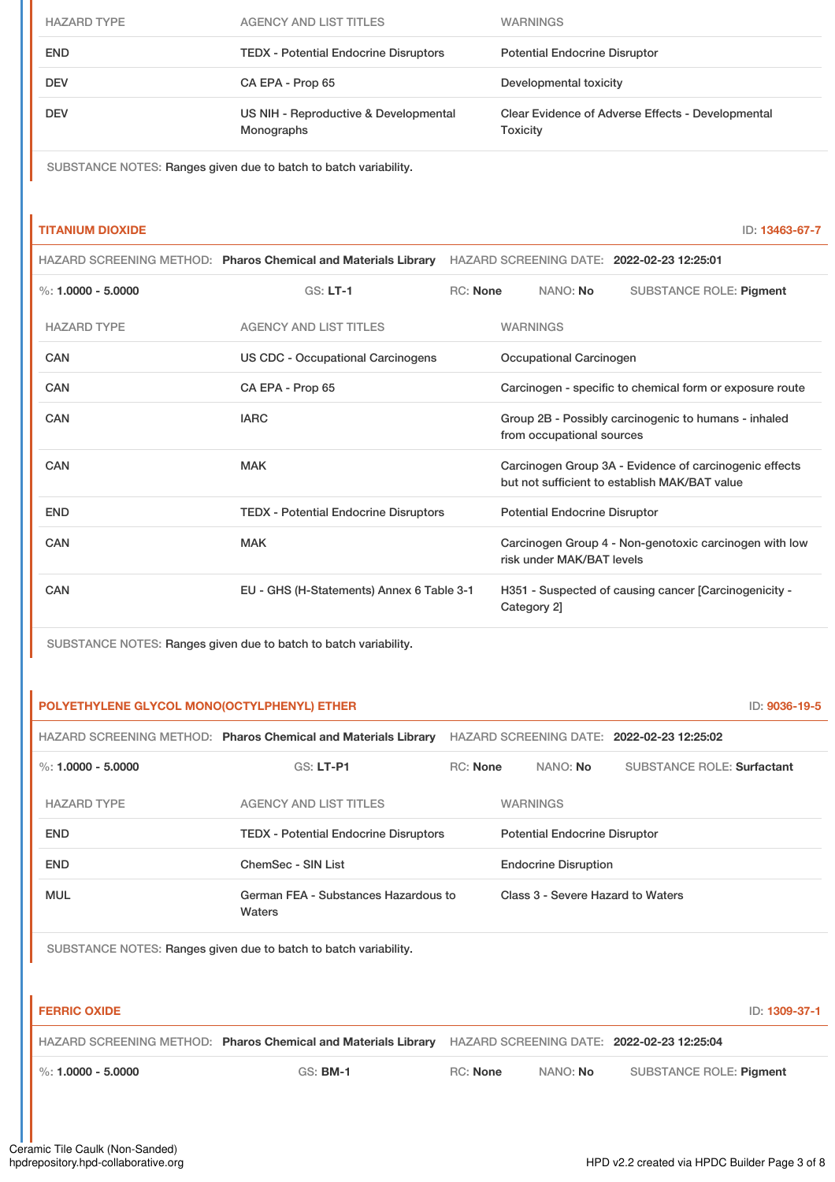| <b>HAZARD TYPE</b> | <b>AGENCY AND LIST TITLES</b>                       | <b>WARNINGS</b>                                               |
|--------------------|-----------------------------------------------------|---------------------------------------------------------------|
| <b>END</b>         | <b>TEDX - Potential Endocrine Disruptors</b>        | <b>Potential Endocrine Disruptor</b>                          |
| <b>DEV</b>         | CA EPA - Prop 65                                    | Developmental toxicity                                        |
| <b>DEV</b>         | US NIH - Reproductive & Developmental<br>Monographs | Clear Evidence of Adverse Effects - Developmental<br>Toxicity |

SUBSTANCE NOTES: Ranges given due to batch to batch variability.

## **TITANIUM DIOXIDE** ID: **13463-67-7**

|                        | HAZARD SCREENING METHOD: Pharos Chemical and Materials Library HAZARD SCREENING DATE: 2022-02-23 12:25:01 |                                                                                   |                 |                                      |                                                                                                         |
|------------------------|-----------------------------------------------------------------------------------------------------------|-----------------------------------------------------------------------------------|-----------------|--------------------------------------|---------------------------------------------------------------------------------------------------------|
| $\%$ : 1.0000 - 5.0000 | <b>GS: LT-1</b>                                                                                           | <b>RC: None</b>                                                                   |                 | NANO: No                             | <b>SUBSTANCE ROLE: Pigment</b>                                                                          |
| <b>HAZARD TYPE</b>     | <b>AGENCY AND LIST TITLES</b>                                                                             |                                                                                   | <b>WARNINGS</b> |                                      |                                                                                                         |
| <b>CAN</b>             | US CDC - Occupational Carcinogens                                                                         |                                                                                   |                 | Occupational Carcinogen              |                                                                                                         |
| CAN                    | CA EPA - Prop 65                                                                                          |                                                                                   |                 |                                      | Carcinogen - specific to chemical form or exposure route                                                |
| CAN                    | <b>IARC</b>                                                                                               | Group 2B - Possibly carcinogenic to humans - inhaled<br>from occupational sources |                 |                                      |                                                                                                         |
| CAN                    | <b>MAK</b>                                                                                                |                                                                                   |                 |                                      | Carcinogen Group 3A - Evidence of carcinogenic effects<br>but not sufficient to establish MAK/BAT value |
| <b>END</b>             | <b>TEDX - Potential Endocrine Disruptors</b>                                                              |                                                                                   |                 | <b>Potential Endocrine Disruptor</b> |                                                                                                         |
| CAN                    | <b>MAK</b>                                                                                                |                                                                                   |                 | risk under MAK/BAT levels            | Carcinogen Group 4 - Non-genotoxic carcinogen with low                                                  |
| <b>CAN</b>             | EU - GHS (H-Statements) Annex 6 Table 3-1                                                                 |                                                                                   | Category 2]     |                                      | H351 - Suspected of causing cancer [Carcinogenicity -                                                   |

SUBSTANCE NOTES: Ranges given due to batch to batch variability.

## **POLYETHYLENE GLYCOL MONO(OCTYLPHENYL) ETHER** ID: **9036-19-5**

|                      | HAZARD SCREENING METHOD: Pharos Chemical and Materials Library | HAZARD SCREENING DATE: 2022-02-23 12:25:02 |                                      |                 |                                   |
|----------------------|----------------------------------------------------------------|--------------------------------------------|--------------------------------------|-----------------|-----------------------------------|
| %: $1.0000 - 5.0000$ | $GS: LT-P1$                                                    | <b>RC: None</b>                            |                                      | NANO: No        | <b>SUBSTANCE ROLE: Surfactant</b> |
| <b>HAZARD TYPE</b>   | <b>AGENCY AND LIST TITLES</b>                                  |                                            |                                      | <b>WARNINGS</b> |                                   |
| <b>END</b>           | <b>TEDX - Potential Endocrine Disruptors</b>                   |                                            | <b>Potential Endocrine Disruptor</b> |                 |                                   |
| <b>END</b>           | ChemSec - SIN List                                             |                                            | <b>Endocrine Disruption</b>          |                 |                                   |
| <b>MUL</b>           | German FEA - Substances Hazardous to<br>Waters                 |                                            | Class 3 - Severe Hazard to Waters    |                 |                                   |

SUBSTANCE NOTES: Ranges given due to batch to batch variability.

| <b>FERRIC OXIDE</b>    |                                                                                                           |                 |                 | ID: 1309-37-1           |
|------------------------|-----------------------------------------------------------------------------------------------------------|-----------------|-----------------|-------------------------|
|                        | HAZARD SCREENING METHOD: Pharos Chemical and Materials Library HAZARD SCREENING DATE: 2022-02-23 12:25:04 |                 |                 |                         |
| $\%$ : 1.0000 - 5.0000 | $GS:$ BM-1                                                                                                | <b>RC:</b> None | NANO: <b>No</b> | SUBSTANCE ROLE: Pigment |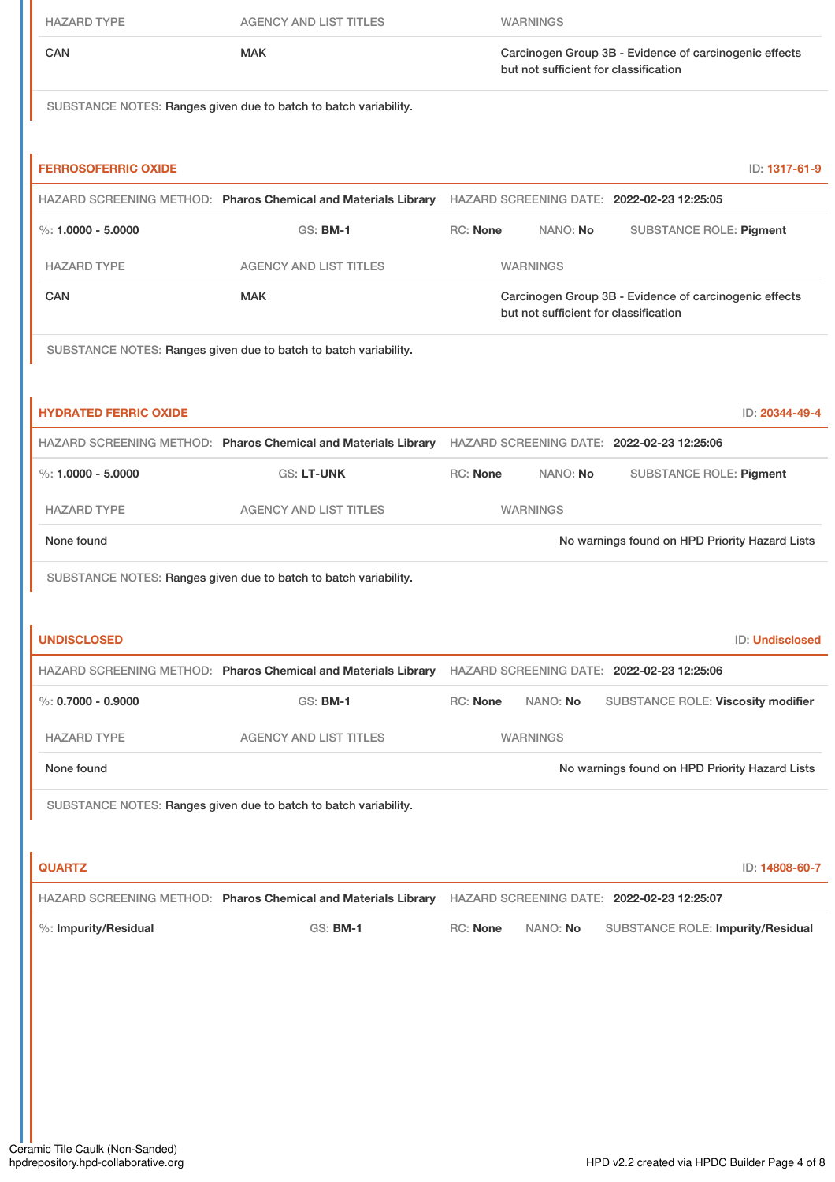| <b>HAZARD TYPE</b>           | <b>AGENCY AND LIST TITLES</b>                                                                             |                 | <b>WARNINGS</b>                       |                                                        |
|------------------------------|-----------------------------------------------------------------------------------------------------------|-----------------|---------------------------------------|--------------------------------------------------------|
| CAN                          | <b>MAK</b>                                                                                                |                 | but not sufficient for classification | Carcinogen Group 3B - Evidence of carcinogenic effects |
|                              | SUBSTANCE NOTES: Ranges given due to batch to batch variability.                                          |                 |                                       |                                                        |
| <b>FERROSOFERRIC OXIDE</b>   |                                                                                                           |                 |                                       | ID: 1317-61-9                                          |
|                              | HAZARD SCREENING METHOD: Pharos Chemical and Materials Library HAZARD SCREENING DATE: 2022-02-23 12:25:05 |                 |                                       |                                                        |
| %: $1.0000 - 5.0000$         | <b>GS: BM-1</b>                                                                                           | <b>RC: None</b> | NANO: No                              | <b>SUBSTANCE ROLE: Pigment</b>                         |
| <b>HAZARD TYPE</b>           | <b>AGENCY AND LIST TITLES</b>                                                                             |                 | <b>WARNINGS</b>                       |                                                        |
| CAN                          | <b>MAK</b>                                                                                                |                 | but not sufficient for classification | Carcinogen Group 3B - Evidence of carcinogenic effects |
|                              | SUBSTANCE NOTES: Ranges given due to batch to batch variability.                                          |                 |                                       |                                                        |
| <b>HYDRATED FERRIC OXIDE</b> |                                                                                                           |                 |                                       | ID: 20344-49-4                                         |
|                              | HAZARD SCREENING METHOD: Pharos Chemical and Materials Library HAZARD SCREENING DATE: 2022-02-23 12:25:06 |                 |                                       |                                                        |
| $\%: 1.0000 - 5.0000$        | <b>GS: LT-UNK</b>                                                                                         | RC: None        | NANO: No                              | SUBSTANCE ROLE: Pigment                                |
| <b>HAZARD TYPE</b>           | <b>AGENCY AND LIST TITLES</b>                                                                             |                 | <b>WARNINGS</b>                       |                                                        |
| None found                   |                                                                                                           |                 |                                       | No warnings found on HPD Priority Hazard Lists         |
|                              | SUBSTANCE NOTES: Ranges given due to batch to batch variability.                                          |                 |                                       |                                                        |
| <b>UNDISCLOSED</b>           |                                                                                                           |                 |                                       | ID: Undisclosed                                        |
|                              | HAZARD SCREENING METHOD: Pharos Chemical and Materials Library HAZARD SCREENING DATE: 2022-02-23 12:25:06 |                 |                                       |                                                        |
| $\%$ : 0.7000 - 0.9000       | <b>GS: BM-1</b>                                                                                           | RC: None        | NANO: No                              | SUBSTANCE ROLE: Viscosity modifier                     |
| <b>HAZARD TYPE</b>           | <b>AGENCY AND LIST TITLES</b>                                                                             |                 | <b>WARNINGS</b>                       |                                                        |
| None found                   |                                                                                                           |                 |                                       | No warnings found on HPD Priority Hazard Lists         |
|                              | SUBSTANCE NOTES: Ranges given due to batch to batch variability.                                          |                 |                                       |                                                        |
| <b>QUARTZ</b>                |                                                                                                           |                 |                                       | ID: 14808-60-7                                         |
|                              | HAZARD SCREENING METHOD: Pharos Chemical and Materials Library HAZARD SCREENING DATE: 2022-02-23 12:25:07 |                 |                                       |                                                        |
| %: Impurity/Residual         | <b>GS: BM-1</b>                                                                                           | RC: None        | NANO: No                              | SUBSTANCE ROLE: Impurity/Residual                      |
|                              |                                                                                                           |                 |                                       |                                                        |
|                              |                                                                                                           |                 |                                       |                                                        |
|                              |                                                                                                           |                 |                                       |                                                        |
|                              |                                                                                                           |                 |                                       |                                                        |
|                              |                                                                                                           |                 |                                       |                                                        |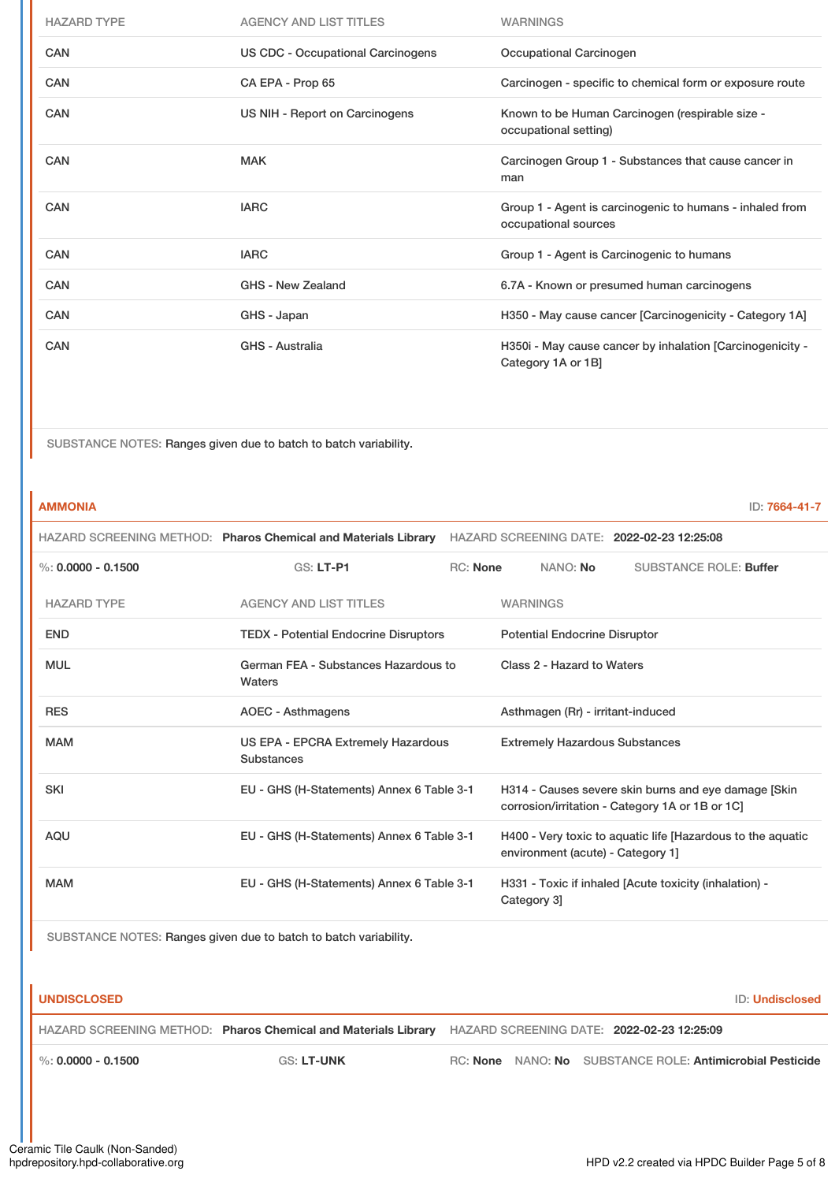| <b>HAZARD TYPE</b> | <b>AGENCY AND LIST TITLES</b>            | <b>WARNINGS</b>                                                                  |
|--------------------|------------------------------------------|----------------------------------------------------------------------------------|
| CAN                | <b>US CDC - Occupational Carcinogens</b> | Occupational Carcinogen                                                          |
| <b>CAN</b>         | CA EPA - Prop 65                         | Carcinogen - specific to chemical form or exposure route                         |
| <b>CAN</b>         | US NIH - Report on Carcinogens           | Known to be Human Carcinogen (respirable size -<br>occupational setting)         |
| CAN                | <b>MAK</b>                               | Carcinogen Group 1 - Substances that cause cancer in<br>man                      |
| <b>CAN</b>         | <b>IARC</b>                              | Group 1 - Agent is carcinogenic to humans - inhaled from<br>occupational sources |
| <b>CAN</b>         | <b>IARC</b>                              | Group 1 - Agent is Carcinogenic to humans                                        |
| <b>CAN</b>         | GHS - New Zealand                        | 6.7A - Known or presumed human carcinogens                                       |
| <b>CAN</b>         | GHS - Japan                              | H350 - May cause cancer [Carcinogenicity - Category 1A]                          |
| CAN                | <b>GHS - Australia</b>                   | H350i - May cause cancer by inhalation [Carcinogenicity -<br>Category 1A or 1B]  |

SUBSTANCE NOTES: Ranges given due to batch to batch variability.

| <b>AMMONIA</b>       |                                                                |                                           |                                                                                                  |                                                                                                          |                                                        | ID: 7664-41-7 |
|----------------------|----------------------------------------------------------------|-------------------------------------------|--------------------------------------------------------------------------------------------------|----------------------------------------------------------------------------------------------------------|--------------------------------------------------------|---------------|
|                      | HAZARD SCREENING METHOD: Pharos Chemical and Materials Library |                                           |                                                                                                  |                                                                                                          | HAZARD SCREENING DATE: 2022-02-23 12:25:08             |               |
| %: $0.0000 - 0.1500$ | <b>GS: LT-P1</b>                                               | <b>RC: None</b>                           | NANO: No                                                                                         |                                                                                                          | <b>SUBSTANCE ROLE: Buffer</b>                          |               |
| <b>HAZARD TYPE</b>   | <b>AGENCY AND LIST TITLES</b>                                  |                                           | <b>WARNINGS</b>                                                                                  |                                                                                                          |                                                        |               |
| <b>END</b>           | <b>TEDX - Potential Endocrine Disruptors</b>                   |                                           | <b>Potential Endocrine Disruptor</b>                                                             |                                                                                                          |                                                        |               |
| <b>MUL</b>           | German FEA - Substances Hazardous to<br>Waters                 |                                           | Class 2 - Hazard to Waters                                                                       |                                                                                                          |                                                        |               |
| <b>RES</b>           | <b>AOEC - Asthmagens</b>                                       |                                           | Asthmagen (Rr) - irritant-induced                                                                |                                                                                                          |                                                        |               |
| <b>MAM</b>           | <b>Substances</b>                                              | US EPA - EPCRA Extremely Hazardous        |                                                                                                  | <b>Extremely Hazardous Substances</b>                                                                    |                                                        |               |
| <b>SKI</b>           |                                                                | EU - GHS (H-Statements) Annex 6 Table 3-1 |                                                                                                  | H314 - Causes severe skin burns and eye damage [Skin]<br>corrosion/irritation - Category 1A or 1B or 1C] |                                                        |               |
| <b>AQU</b>           | EU - GHS (H-Statements) Annex 6 Table 3-1                      |                                           | H400 - Very toxic to aquatic life [Hazardous to the aquatic<br>environment (acute) - Category 1] |                                                                                                          |                                                        |               |
| <b>MAM</b>           | EU - GHS (H-Statements) Annex 6 Table 3-1                      |                                           | Category 3                                                                                       |                                                                                                          | H331 - Toxic if inhaled [Acute toxicity (inhalation) - |               |

SUBSTANCE NOTES: Ranges given due to batch to batch variability.

| <b>UNDISC</b> |  | ≁≌LOE |  |
|---------------|--|-------|--|
|               |  |       |  |

**ID: Undisclosed** 

HAZARD SCREENING METHOD: **Pharos Chemical and Materials Library** HAZARD SCREENING DATE: **2022-02-23 12:25:09**

%: **0.0000 - 0.1500** GS: **LT-UNK** RC: **None** NANO: **No** SUBSTANCE ROLE: **Antimicrobial Pesticide**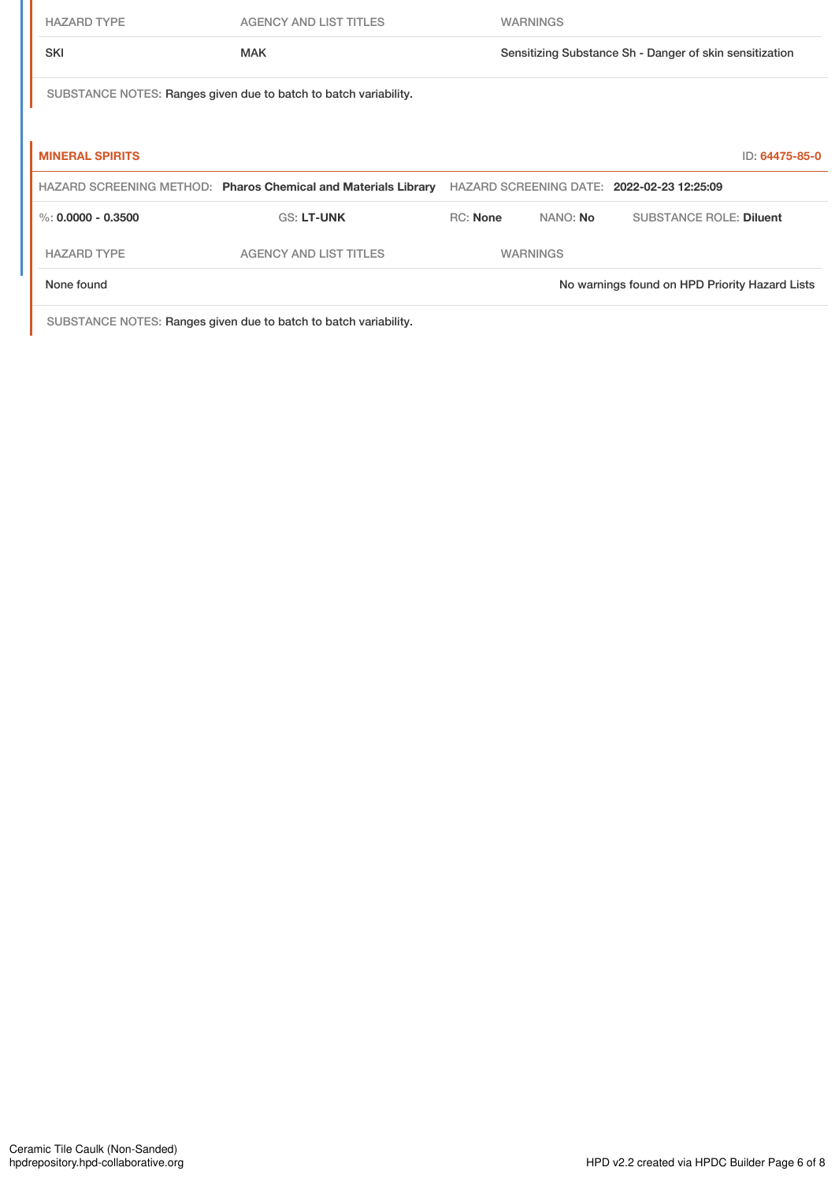| <b>HAZARD TYPE</b>     | <b>AGENCY AND LIST TITLES</b>                                    |                 | <b>WARNINGS</b> |                                                         |                |
|------------------------|------------------------------------------------------------------|-----------------|-----------------|---------------------------------------------------------|----------------|
| <b>SKI</b>             | <b>MAK</b>                                                       |                 |                 | Sensitizing Substance Sh - Danger of skin sensitization |                |
|                        | SUBSTANCE NOTES: Ranges given due to batch to batch variability. |                 |                 |                                                         |                |
|                        |                                                                  |                 |                 |                                                         |                |
| <b>MINERAL SPIRITS</b> |                                                                  |                 |                 |                                                         | ID: 64475-85-0 |
|                        | HAZARD SCREENING METHOD: Pharos Chemical and Materials Library   |                 |                 | HAZARD SCREENING DATE: 2022-02-23 12:25:09              |                |
| %: $0.0000 - 0.3500$   | <b>GS: LT-UNK</b>                                                | <b>RC: None</b> | NANO: No        | <b>SUBSTANCE ROLE: Diluent</b>                          |                |
| <b>HAZARD TYPE</b>     | <b>AGENCY AND LIST TITLES</b>                                    |                 | <b>WARNINGS</b> |                                                         |                |
| None found             |                                                                  |                 |                 | No warnings found on HPD Priority Hazard Lists          |                |

SUBSTANCE NOTES: Ranges given due to batch to batch variability.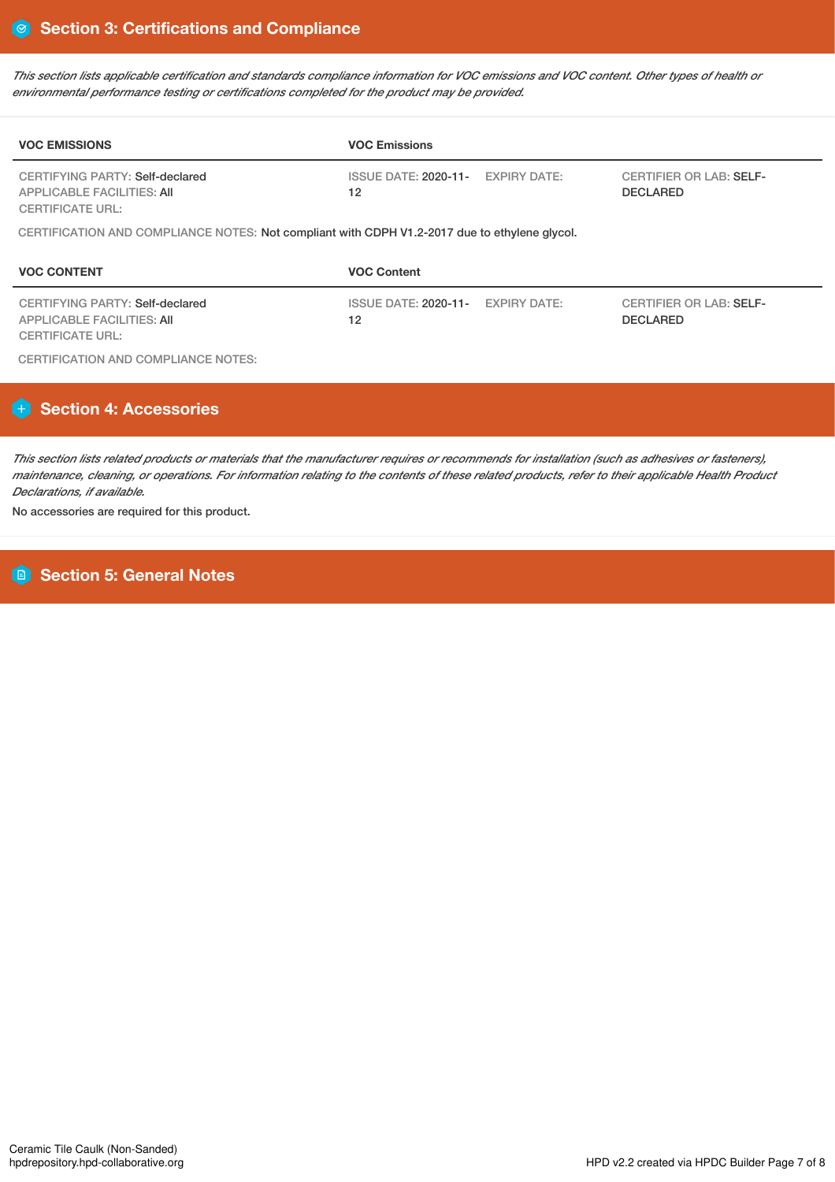This section lists applicable certification and standards compliance information for VOC emissions and VOC content. Other types of health or *environmental performance testing or certifications completed for the product may be provided.*

| <b>VOC EMISSIONS</b>                                                                            | <b>VOC Emissions</b>                         |                     |                                                   |
|-------------------------------------------------------------------------------------------------|----------------------------------------------|---------------------|---------------------------------------------------|
| CERTIFYING PARTY: Self-declared<br><b>APPLICABLE FACILITIES: AII</b><br><b>CERTIFICATE URL:</b> | ISSUE DATE: 2020-11- EXPIRY DATE:<br>$12 \,$ |                     | <b>CERTIFIER OR LAB: SELF-</b><br><b>DECLARED</b> |
| CERTIFICATION AND COMPLIANCE NOTES: Not compliant with CDPH V1.2-2017 due to ethylene glycol.   |                                              |                     |                                                   |
| <b>VOC CONTENT</b>                                                                              | <b>VOC Content</b>                           |                     |                                                   |
| CERTIFYING PARTY: Self-declared                                                                 | <b>ISSUE DATE: 2020-11-</b>                  | <b>EXPIRY DATE:</b> | <b>CERTIFIER OR LAB: SELF-</b>                    |

CERTIFICATION AND COMPLIANCE NOTES:

# **Section 4: Accessories**

This section lists related products or materials that the manufacturer requires or recommends for installation (such as adhesives or fasteners), maintenance, cleaning, or operations. For information relating to the contents of these related products, refer to their applicable Health Product *Declarations, if available.*

No accessories are required for this product.

**Section 5: General Notes**